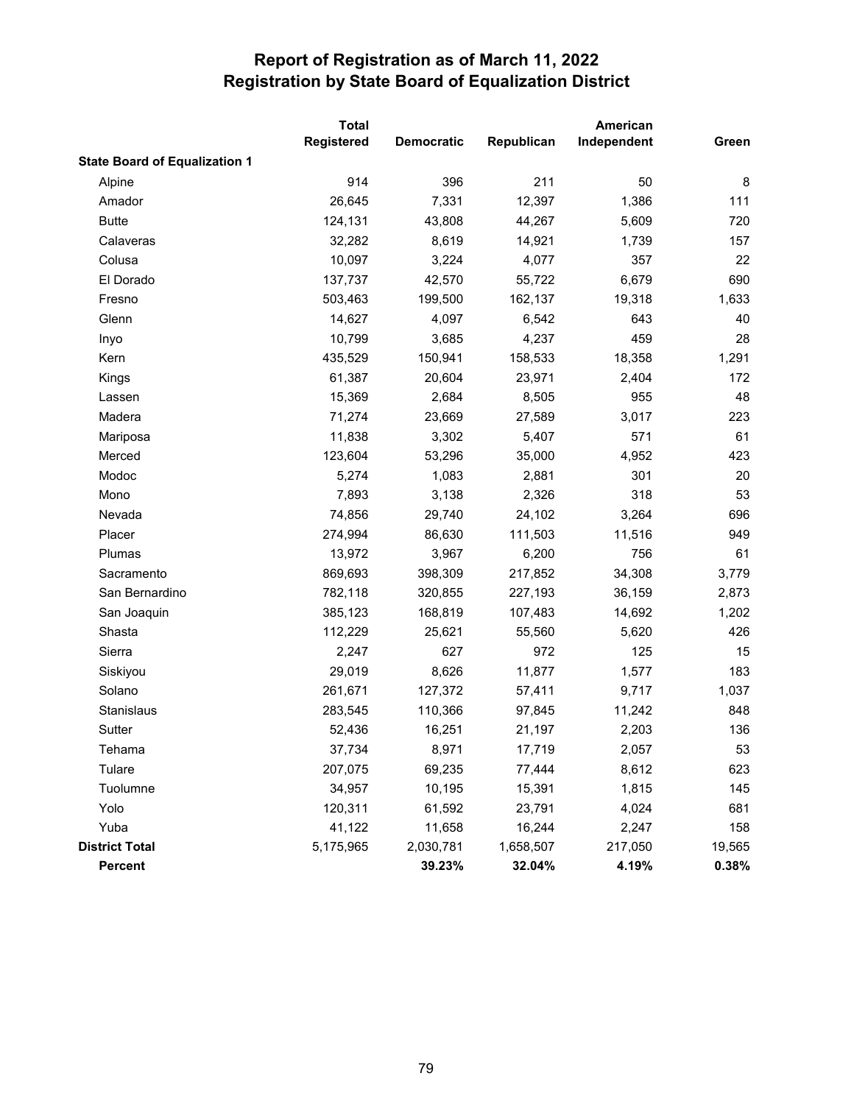|                                      | <b>Total</b>      |                   |            |             |        |
|--------------------------------------|-------------------|-------------------|------------|-------------|--------|
|                                      | <b>Registered</b> | <b>Democratic</b> | Republican | Independent | Green  |
| <b>State Board of Equalization 1</b> |                   |                   |            |             |        |
| Alpine                               | 914               | 396               | 211        | 50          | 8      |
| Amador                               | 26,645            | 7,331             | 12,397     | 1,386       | 111    |
| <b>Butte</b>                         | 124,131           | 43,808            | 44,267     | 5,609       | 720    |
| Calaveras                            | 32,282            | 8,619             | 14,921     | 1,739       | 157    |
| Colusa                               | 10,097            | 3,224             | 4,077      | 357         | 22     |
| El Dorado                            | 137,737           | 42,570            | 55,722     | 6,679       | 690    |
| Fresno                               | 503,463           | 199,500           | 162,137    | 19,318      | 1,633  |
| Glenn                                | 14,627            | 4,097             | 6,542      | 643         | 40     |
| Inyo                                 | 10,799            | 3,685             | 4,237      | 459         | 28     |
| Kern                                 | 435,529           | 150,941           | 158,533    | 18,358      | 1,291  |
| Kings                                | 61,387            | 20,604            | 23,971     | 2,404       | 172    |
| Lassen                               | 15,369            | 2,684             | 8,505      | 955         | 48     |
| Madera                               | 71,274            | 23,669            | 27,589     | 3,017       | 223    |
| Mariposa                             | 11,838            | 3,302             | 5,407      | 571         | 61     |
| Merced                               | 123,604           | 53,296            | 35,000     | 4,952       | 423    |
| Modoc                                | 5,274             | 1,083             | 2,881      | 301         | 20     |
| Mono                                 | 7,893             | 3,138             | 2,326      | 318         | 53     |
| Nevada                               | 74,856            | 29,740            | 24,102     | 3,264       | 696    |
| Placer                               | 274,994           | 86,630            | 111,503    | 11,516      | 949    |
| Plumas                               | 13,972            | 3,967             | 6,200      | 756         | 61     |
| Sacramento                           | 869,693           | 398,309           | 217,852    | 34,308      | 3,779  |
| San Bernardino                       | 782,118           | 320,855           | 227,193    | 36,159      | 2,873  |
| San Joaquin                          | 385,123           | 168,819           | 107,483    | 14,692      | 1,202  |
| Shasta                               | 112,229           | 25,621            | 55,560     | 5,620       | 426    |
| Sierra                               | 2,247             | 627               | 972        | 125         | 15     |
| Siskiyou                             | 29,019            | 8,626             | 11,877     | 1,577       | 183    |
| Solano                               | 261,671           | 127,372           | 57,411     | 9,717       | 1,037  |
| Stanislaus                           | 283,545           | 110,366           | 97,845     | 11,242      | 848    |
| Sutter                               | 52,436            | 16,251            | 21,197     | 2,203       | 136    |
| Tehama                               | 37,734            | 8,971             | 17,719     | 2,057       | 53     |
| Tulare                               | 207,075           | 69,235            | 77,444     | 8,612       | 623    |
| Tuolumne                             | 34,957            | 10,195            | 15,391     | 1,815       | 145    |
| Yolo                                 | 120,311           | 61,592            | 23,791     | 4,024       | 681    |
| Yuba                                 | 41,122            | 11,658            | 16,244     | 2,247       | 158    |
| <b>District Total</b>                | 5,175,965         | 2,030,781         | 1,658,507  | 217,050     | 19,565 |
| Percent                              |                   | 39.23%            | 32.04%     | 4.19%       | 0.38%  |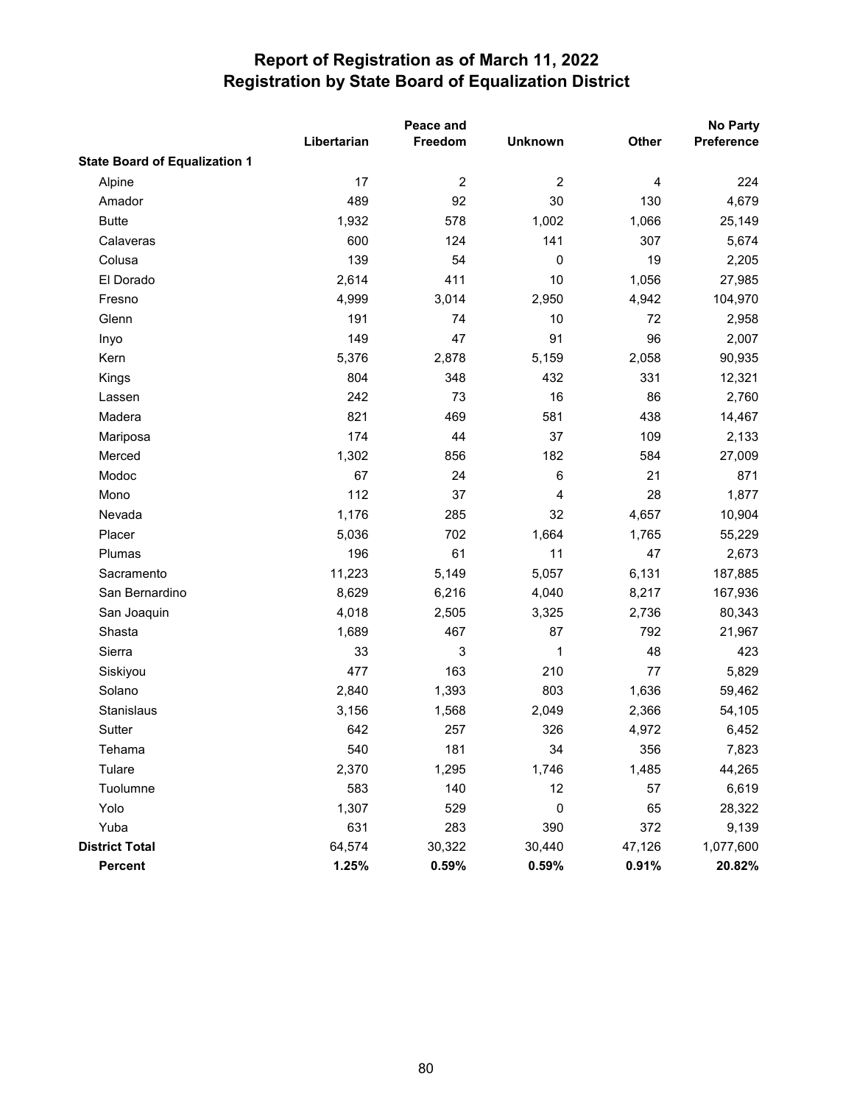|                                      | Peace and   |                |                |        | No Party   |
|--------------------------------------|-------------|----------------|----------------|--------|------------|
|                                      | Libertarian | Freedom        | <b>Unknown</b> | Other  | Preference |
| <b>State Board of Equalization 1</b> |             |                |                |        |            |
| Alpine                               | 17          | $\overline{c}$ | $\overline{2}$ | 4      | 224        |
| Amador                               | 489         | 92             | 30             | 130    | 4,679      |
| <b>Butte</b>                         | 1,932       | 578            | 1,002          | 1,066  | 25,149     |
| Calaveras                            | 600         | 124            | 141            | 307    | 5,674      |
| Colusa                               | 139         | 54             | $\pmb{0}$      | 19     | 2,205      |
| El Dorado                            | 2,614       | 411            | 10             | 1,056  | 27,985     |
| Fresno                               | 4,999       | 3,014          | 2,950          | 4,942  | 104,970    |
| Glenn                                | 191         | 74             | 10             | 72     | 2,958      |
| Inyo                                 | 149         | 47             | 91             | 96     | 2,007      |
| Kern                                 | 5,376       | 2,878          | 5,159          | 2,058  | 90,935     |
| Kings                                | 804         | 348            | 432            | 331    | 12,321     |
| Lassen                               | 242         | 73             | 16             | 86     | 2,760      |
| Madera                               | 821         | 469            | 581            | 438    | 14,467     |
| Mariposa                             | 174         | 44             | 37             | 109    | 2,133      |
| Merced                               | 1,302       | 856            | 182            | 584    | 27,009     |
| Modoc                                | 67          | 24             | 6              | 21     | 871        |
| Mono                                 | 112         | 37             | 4              | 28     | 1,877      |
| Nevada                               | 1,176       | 285            | 32             | 4,657  | 10,904     |
| Placer                               | 5,036       | 702            | 1,664          | 1,765  | 55,229     |
| Plumas                               | 196         | 61             | 11             | 47     | 2,673      |
| Sacramento                           | 11,223      | 5,149          | 5,057          | 6,131  | 187,885    |
| San Bernardino                       | 8,629       | 6,216          | 4,040          | 8,217  | 167,936    |
| San Joaquin                          | 4,018       | 2,505          | 3,325          | 2,736  | 80,343     |
| Shasta                               | 1,689       | 467            | 87             | 792    | 21,967     |
| Sierra                               | 33          | 3              | 1              | 48     | 423        |
| Siskiyou                             | 477         | 163            | 210            | 77     | 5,829      |
| Solano                               | 2,840       | 1,393          | 803            | 1,636  | 59,462     |
| Stanislaus                           | 3,156       | 1,568          | 2,049          | 2,366  | 54,105     |
| Sutter                               | 642         | 257            | 326            | 4,972  | 6,452      |
| Tehama                               | 540         | 181            | 34             | 356    | 7,823      |
| Tulare                               | 2,370       | 1,295          | 1,746          | 1,485  | 44,265     |
| Tuolumne                             | 583         | 140            | 12             | 57     | 6,619      |
| Yolo                                 | 1,307       | 529            | 0              | 65     | 28,322     |
| Yuba                                 | 631         | 283            | 390            | 372    | 9,139      |
| <b>District Total</b>                | 64,574      | 30,322         | 30,440         | 47,126 | 1,077,600  |
| Percent                              | 1.25%       | 0.59%          | 0.59%          | 0.91%  | 20.82%     |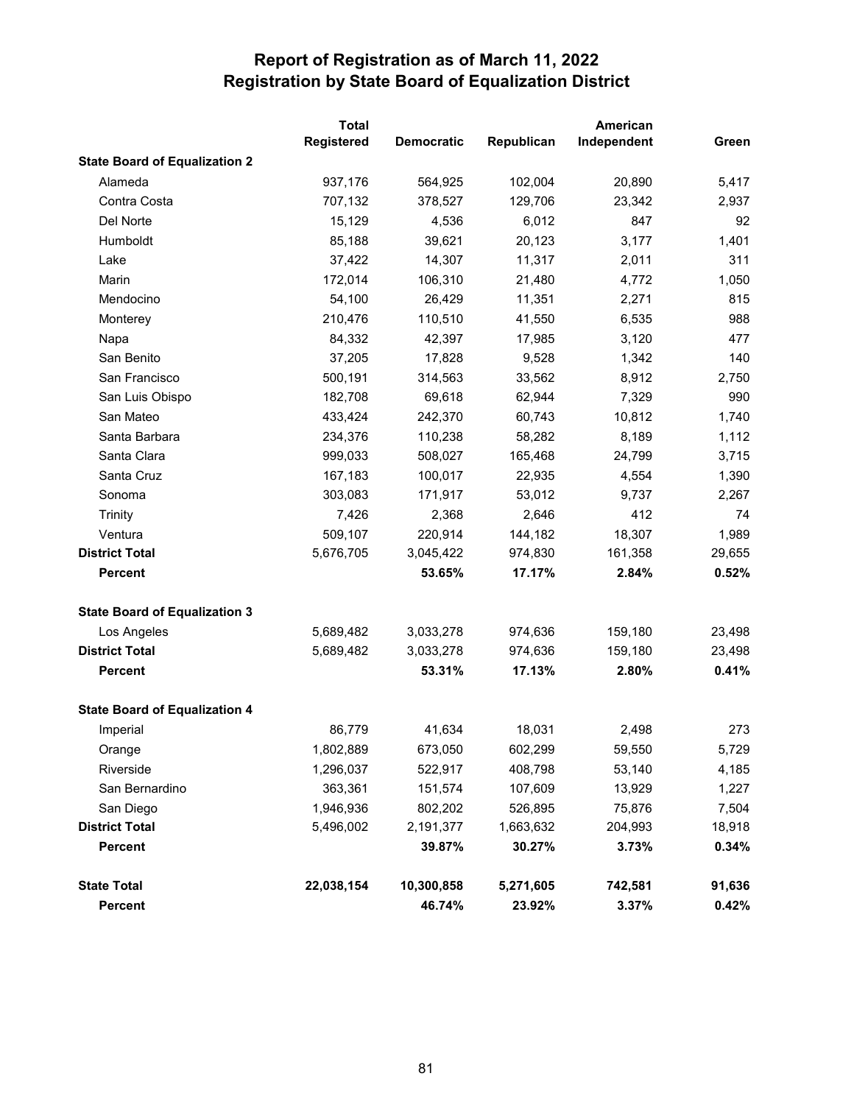|                                      | <b>Total</b>      |                   |            | American    |        |
|--------------------------------------|-------------------|-------------------|------------|-------------|--------|
|                                      | <b>Registered</b> | <b>Democratic</b> | Republican | Independent | Green  |
| <b>State Board of Equalization 2</b> |                   |                   |            |             |        |
| Alameda                              | 937,176           | 564,925           | 102,004    | 20,890      | 5,417  |
| Contra Costa                         | 707,132           | 378,527           | 129,706    | 23,342      | 2,937  |
| Del Norte                            | 15,129            | 4,536             | 6,012      | 847         | 92     |
| Humboldt                             | 85,188            | 39,621            | 20,123     | 3,177       | 1,401  |
| Lake                                 | 37,422            | 14,307            | 11,317     | 2,011       | 311    |
| Marin                                | 172,014           | 106,310           | 21,480     | 4,772       | 1,050  |
| Mendocino                            | 54,100            | 26,429            | 11,351     | 2,271       | 815    |
| Monterey                             | 210,476           | 110,510           | 41,550     | 6,535       | 988    |
| Napa                                 | 84,332            | 42,397            | 17,985     | 3,120       | 477    |
| San Benito                           | 37,205            | 17,828            | 9,528      | 1,342       | 140    |
| San Francisco                        | 500,191           | 314,563           | 33,562     | 8,912       | 2,750  |
| San Luis Obispo                      | 182,708           | 69,618            | 62,944     | 7,329       | 990    |
| San Mateo                            | 433,424           | 242,370           | 60,743     | 10,812      | 1,740  |
| Santa Barbara                        | 234,376           | 110,238           | 58,282     | 8,189       | 1,112  |
| Santa Clara                          | 999,033           | 508,027           | 165,468    | 24,799      | 3,715  |
| Santa Cruz                           | 167,183           | 100,017           | 22,935     | 4,554       | 1,390  |
| Sonoma                               | 303,083           | 171,917           | 53,012     | 9,737       | 2,267  |
| Trinity                              | 7,426             | 2,368             | 2,646      | 412         | 74     |
| Ventura                              | 509,107           | 220,914           | 144,182    | 18,307      | 1,989  |
| <b>District Total</b>                | 5,676,705         | 3,045,422         | 974,830    | 161,358     | 29,655 |
| <b>Percent</b>                       |                   | 53.65%            | 17.17%     | 2.84%       | 0.52%  |
| <b>State Board of Equalization 3</b> |                   |                   |            |             |        |
| Los Angeles                          | 5,689,482         | 3,033,278         | 974,636    | 159,180     | 23,498 |
| <b>District Total</b>                | 5,689,482         | 3,033,278         | 974,636    | 159,180     | 23,498 |
| <b>Percent</b>                       |                   | 53.31%            | 17.13%     | 2.80%       | 0.41%  |
| <b>State Board of Equalization 4</b> |                   |                   |            |             |        |
| Imperial                             | 86,779            | 41,634            | 18,031     | 2,498       | 273    |
| Orange                               | 1,802,889         | 673,050           | 602,299    | 59,550      | 5,729  |
| Riverside                            | 1,296,037         | 522,917           | 408,798    | 53,140      | 4,185  |
| San Bernardino                       | 363,361           | 151,574           | 107,609    | 13,929      | 1,227  |
| San Diego                            | 1,946,936         | 802,202           | 526,895    | 75,876      | 7,504  |
| <b>District Total</b>                | 5,496,002         | 2,191,377         | 1,663,632  | 204,993     | 18,918 |
| <b>Percent</b>                       |                   | 39.87%            | 30.27%     | 3.73%       | 0.34%  |
| <b>State Total</b>                   | 22,038,154        | 10,300,858        | 5,271,605  | 742,581     | 91,636 |
| Percent                              |                   | 46.74%            | 23.92%     | 3.37%       | 0.42%  |